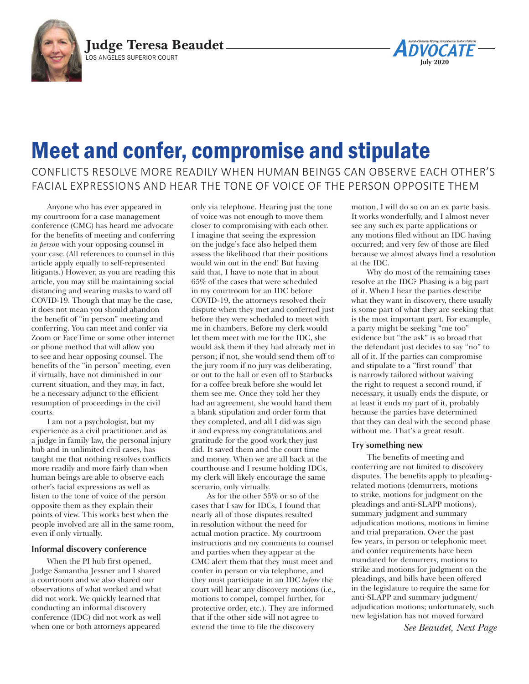



# Meet and confer, compromise and stipulate

# CONFLICTS RESOLVE MORE READILY WHEN HUMAN BEINGS CAN OBSERVE EACH OTHER'S FACIAL EXPRESSIONS AND HEAR THE TONE OF VOICE OF THE PERSON OPPOSITE THEM

Anyone who has ever appeared in my courtroom for a case management conference (CMC) has heard me advocate for the benefits of meeting and conferring *in person* with your opposing counsel in your case.(All references to counsel in this article apply equally to self-represented litigants.) However, as you are reading this article, you may still be maintaining social distancing and wearing masks to ward off COVID-19. Though that may be the case, it does not mean you should abandon the benefit of "in person" meeting and conferring. You can meet and confer via Zoom or FaceTime or some other internet or phone method that will allow you to see and hear opposing counsel. The benefits of the "in person" meeting, even if virtually, have not diminished in our current situation, and they may, in fact, be a necessary adjunct to the efficient resumption of proceedings in the civil courts.

I am not a psychologist, but my experience as a civil practitioner and as a judge in family law, the personal injury hub and in unlimited civil cases, has taught me that nothing resolves conflicts more readily and more fairly than when human beings are able to observe each other's facial expressions as well as listen to the tone of voice of the person opposite them as they explain their points of view. This works best when the people involved are all in the same room, even if only virtually.

#### **Informal discovery conference**

When the PI hub first opened, Judge Samantha Jessner and I shared a courtroom and we also shared our observations of what worked and what did not work. We quickly learned that conducting an informal discovery conference (IDC) did not work as well when one or both attorneys appeared

only via telephone. Hearing just the tone of voice was not enough to move them closer to compromising with each other. I imagine that seeing the expression on the judge's face also helped them assess the likelihood that their positions would win out in the end! But having said that, I have to note that in about 65% of the cases that were scheduled in my courtroom for an IDC before COVID-19, the attorneys resolved their dispute when they met and conferred just before they were scheduled to meet with me in chambers. Before my clerk would let them meet with me for the IDC, she would ask them if they had already met in person; if not, she would send them off to the jury room if no jury was deliberating, or out to the hall or even off to Starbucks for a coffee break before she would let them see me. Once they told her they had an agreement, she would hand them a blank stipulation and order form that they completed, and all I did was sign it and express my congratulations and gratitude for the good work they just did. It saved them and the court time and money. When we are all back at the courthouse and I resume holding IDCs, my clerk will likely encourage the same scenario, only virtually.

As for the other 35% or so of the cases that I saw for IDCs, I found that nearly all of those disputes resulted in resolution without the need for actual motion practice. My courtroom instructions and my comments to counsel and parties when they appear at the CMC alert them that they must meet and confer in person or via telephone, and they must participate in an IDC *before* the court will hear any discovery motions (i.e., motions to compel, compel further, for protective order, etc.). They are informed that if the other side will not agree to extend the time to file the discovery

motion, I will do so on an ex parte basis. It works wonderfully, and I almost never see any such ex parte applications or any motions filed without an IDC having occurred; and very few of those are filed because we almost always find a resolution at the IDC.

Why do most of the remaining cases resolve at the IDC? Phasing is a big part of it. When I hear the parties describe what they want in discovery, there usually is some part of what they are seeking that is the most important part. For example, a party might be seeking "me too" evidence but "the ask" is so broad that the defendant just decides to say "no" to all of it. If the parties can compromise and stipulate to a "first round" that is narrowly tailored without waiving the right to request a second round, if necessary, it usually ends the dispute, or at least it ends my part of it, probably because the parties have determined that they can deal with the second phase without me. That's a great result.

#### **Try something new**

The benefits of meeting and conferring are not limited to discovery disputes. The benefits apply to pleadingrelated motions (demurrers, motions to strike, motions for judgment on the pleadings and anti-SLAPP motions), summary judgment and summary adjudication motions, motions in limine and trial preparation. Over the past few years, in person or telephonic meet and confer requirements have been mandated for demurrers, motions to strike and motions for judgment on the pleadings, and bills have been offered in the legislature to require the same for anti-SLAPP and summary judgment/ adjudication motions; unfortunately, such new legislation has not moved forward

*See Beaudet, Next Page*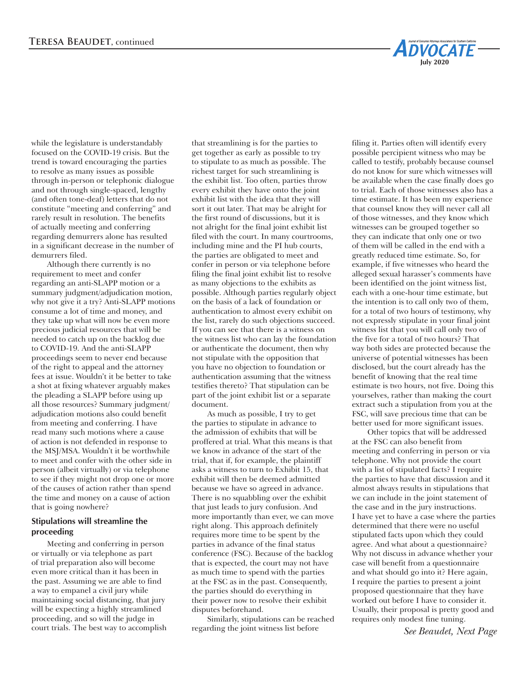while the legislature is understandably focused on the COVID-19 crisis. But the trend is toward encouraging the parties to resolve as many issues as possible through in-person or telephonic dialogue and not through single-spaced, lengthy (and often tone-deaf) letters that do not constitute "meeting and conferring" and rarely result in resolution. The benefits of actually meeting and conferring regarding demurrers alone has resulted in a significant decrease in the number of demurrers filed.

Although there currently is no requirement to meet and confer regarding an anti-SLAPP motion or a summary judgment/adjudication motion, why not give it a try? Anti-SLAPP motions consume a lot of time and money, and they take up what will now be even more precious judicial resources that will be needed to catch up on the backlog due to COVID-19. And the anti-SLAPP proceedings seem to never end because of the right to appeal and the attorney fees at issue. Wouldn't it be better to take a shot at fixing whatever arguably makes the pleading a SLAPP before using up all those resources? Summary judgment/ adjudication motions also could benefit from meeting and conferring. I have read many such motions where a cause of action is not defended in response to the MSJ/MSA. Wouldn't it be worthwhile to meet and confer with the other side in person (albeit virtually) or via telephone to see if they might not drop one or more of the causes of action rather than spend the time and money on a cause of action that is going nowhere?

## **Stipulations will streamline the proceeding**

Meeting and conferring in person or virtually or via telephone as part of trial preparation also will become even more critical than it has been in the past. Assuming we are able to find a way to empanel a civil jury while maintaining social distancing, that jury will be expecting a highly streamlined proceeding, and so will the judge in court trials. The best way to accomplish

that streamlining is for the parties to get together as early as possible to try to stipulate to as much as possible. The richest target for such streamlining is the exhibit list. Too often, parties throw every exhibit they have onto the joint exhibit list with the idea that they will sort it out later. That may be alright for the first round of discussions, but it is not alright for the final joint exhibit list filed with the court. In many courtrooms, including mine and the PI hub courts, the parties are obligated to meet and confer in person or via telephone before filing the final joint exhibit list to resolve as many objections to the exhibits as possible. Although parties regularly object on the basis of a lack of foundation or authentication to almost every exhibit on the list, rarely do such objections succeed. If you can see that there is a witness on the witness list who can lay the foundation or authenticate the document, then why not stipulate with the opposition that you have no objection to foundation or authentication assuming that the witness testifies thereto? That stipulation can be part of the joint exhibit list or a separate document.

As much as possible, I try to get the parties to stipulate in advance to the admission of exhibits that will be proffered at trial. What this means is that we know in advance of the start of the trial, that if, for example, the plaintiff asks a witness to turn to Exhibit 15, that exhibit will then be deemed admitted because we have so agreed in advance. There is no squabbling over the exhibit that just leads to jury confusion. And more importantly than ever, we can move right along. This approach definitely requires more time to be spent by the parties in advance of the final status conference (FSC). Because of the backlog that is expected, the court may not have as much time to spend with the parties at the FSC as in the past. Consequently, the parties should do everything in their power now to resolve their exhibit disputes beforehand.

Similarly, stipulations can be reached regarding the joint witness list before

filing it. Parties often will identify every possible percipient witness who may be called to testify, probably because counsel do not know for sure which witnesses will be available when the case finally does go to trial. Each of those witnesses also has a time estimate. It has been my experience that counsel know they will never call all of those witnesses, and they know which witnesses can be grouped together so they can indicate that only one or two of them will be called in the end with a greatly reduced time estimate. So, for example, if five witnesses who heard the alleged sexual harasser's comments have been identified on the joint witness list, each with a one-hour time estimate, but the intention is to call only two of them, for a total of two hours of testimony, why not expressly stipulate in your final joint witness list that you will call only two of the five for a total of two hours? That way both sides are protected because the universe of potential witnesses has been disclosed, but the court already has the benefit of knowing that the real time estimate is two hours, not five. Doing this yourselves, rather than making the court extract such a stipulation from you at the FSC, will save precious time that can be better used for more significant issues.

**May 2020**

**ADVOCATE** 

**July 2020**

Other topics that will be addressed at the FSC can also benefit from meeting and conferring in person or via telephone. Why not provide the court with a list of stipulated facts? I require the parties to have that discussion and it almost always results in stipulations that we can include in the joint statement of the case and in the jury instructions. I have yet to have a case where the parties determined that there were no useful stipulated facts upon which they could agree. And what about a questionnaire? Why not discuss in advance whether your case will benefit from a questionnaire and what should go into it? Here again, I require the parties to present a joint proposed questionnaire that they have worked out before I have to consider it. Usually, their proposal is pretty good and requires only modest fine tuning.

*See Beaudet, Next Page*